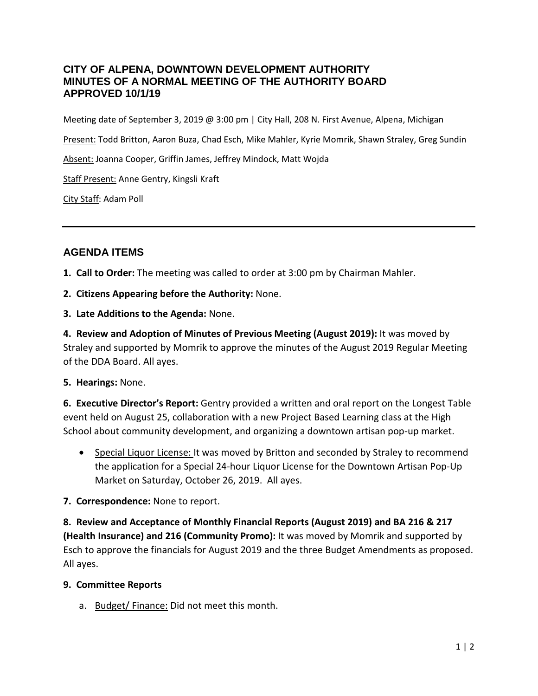### **CITY OF ALPENA, DOWNTOWN DEVELOPMENT AUTHORITY MINUTES OF A NORMAL MEETING OF THE AUTHORITY BOARD APPROVED 10/1/19**

Meeting date of September 3, 2019 @ 3:00 pm | City Hall, 208 N. First Avenue, Alpena, Michigan

Present: Todd Britton, Aaron Buza, Chad Esch, Mike Mahler, Kyrie Momrik, Shawn Straley, Greg Sundin

Absent: Joanna Cooper, Griffin James, Jeffrey Mindock, Matt Wojda

Staff Present: Anne Gentry, Kingsli Kraft

City Staff: Adam Poll

## **AGENDA ITEMS**

- **1. Call to Order:** The meeting was called to order at 3:00 pm by Chairman Mahler.
- **2. Citizens Appearing before the Authority:** None.
- **3. Late Additions to the Agenda:** None.

**4. Review and Adoption of Minutes of Previous Meeting (August 2019):** It was moved by Straley and supported by Momrik to approve the minutes of the August 2019 Regular Meeting of the DDA Board. All ayes.

**5. Hearings:** None.

**6. Executive Director's Report:** Gentry provided a written and oral report on the Longest Table event held on August 25, collaboration with a new Project Based Learning class at the High School about community development, and organizing a downtown artisan pop-up market.

- Special Liquor License: It was moved by Britton and seconded by Straley to recommend the application for a Special 24-hour Liquor License for the Downtown Artisan Pop-Up Market on Saturday, October 26, 2019. All ayes.
- **7. Correspondence:** None to report.

**8. Review and Acceptance of Monthly Financial Reports (August 2019) and BA 216 & 217 (Health Insurance) and 216 (Community Promo):** It was moved by Momrik and supported by Esch to approve the financials for August 2019 and the three Budget Amendments as proposed. All ayes.

#### **9. Committee Reports**

a. Budget/ Finance: Did not meet this month.